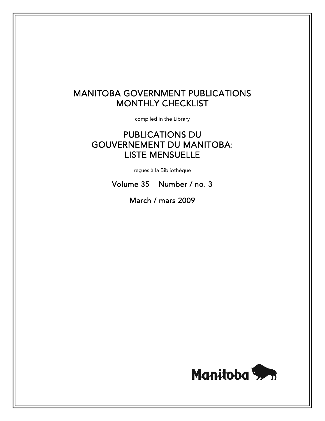# MANITOBA GOVERNMENT PUBLICATIONS MONTHLY CHECKLIST

compiled in the Library

# PUBLICATIONS DU GOUVERNEMENT DU MANITOBA: LISTE MENSUELLE

reçues à la Bibliothèque

Volume 35 Number / no. 3

March / mars 2009

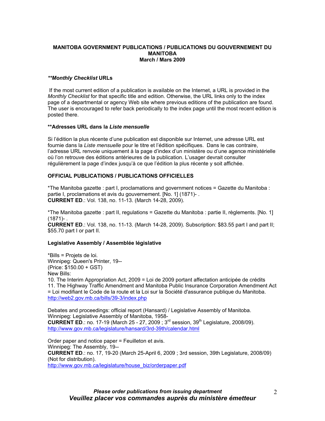#### **MANITOBA GOVERNMENT PUBLICATIONS / PUBLICATIONS DU GOUVERNEMENT DU MANITOBA March / Mars 2009**

## *\*\*Monthly Checklist* **URLs**

 If the most current edition of a publication is available on the Internet, a URL is provided in the *Monthly Checklist* for that specific title and edition. Otherwise, the URL links only to the index page of a departmental or agency Web site where previous editions of the publication are found. The user is encouraged to refer back periodically to the index page until the most recent edition is posted there.

## **\*\*Adresses URL dans la** *Liste mensuelle*

Si l'édition la plus récente d'une publication est disponible sur Internet, une adresse URL est fournie dans la *Liste mensuelle* pour le titre et l'édition spécifiques. Dans le cas contraire, l'adresse URL renvoie uniquement à la page d'index d'un ministère ou d'une agence ministérielle où l'on retrouve des éditions antérieures de la publication. L'usager devrait consulter régulièrement la page d'index jusqu'à ce que l'édition la plus récente y soit affichée.

# **OFFICIAL PUBLICATIONS / PUBLICATIONS OFFICIELLES**

\*The Manitoba gazette : part I, proclamations and government notices = Gazette du Manitoba : partie I, proclamations et avis du gouvernement. [No. 1] (1871)- . **CURRENT ED**.: Vol. 138, no. 11-13. (March 14-28, 2009).

\*The Manitoba gazette : part II, regulations = Gazette du Manitoba : partie II, règlements. [No. 1] (1871)- .

**CURRENT ED**.: Vol. 138, no. 11-13. (March 14-28, 2009). Subscription: \$83.55 part I and part II; \$55.70 part I or part II.

# **Legislative Assembly / Assemblée législative**

\*Bills = Projets de loi. Winnipeg: Queen's Printer, 19-- (Price: \$150.00 + GST) New Bills: 10. The Interim Appropriation Act, 2009 = Loi de 2009 portant affectation anticipée de crédits 11. The Highway Traffic Amendment and Manitoba Public Insurance Corporation Amendment Act = Loi modifiant le Code de la route et la Loi sur la Société d'assurance publique du Manitoba. http://web2.gov.mb.ca/bills/39-3/index.php

Debates and proceedings: official report (Hansard) / Legislative Assembly of Manitoba. Winnipeg: Legislative Assembly of Manitoba, 1958- **CURRENT ED**.: no. 17-19 (March 25 - 27, 2009 ;  $3<sup>rd</sup>$  session,  $39<sup>th</sup>$  Legislature, 2008/09). http://www.gov.mb.ca/legislature/hansard/3rd-39th/calendar.html

Order paper and notice paper = Feuilleton et avis. Winnipeg: The Assembly, 19-- **CURRENT ED**.: no. 17, 19-20 (March 25-April 6, 2009 ; 3rd session, 39th Legislature, 2008/09) (Not for distribution). http://www.gov.mb.ca/legislature/house\_biz/orderpaper.pdf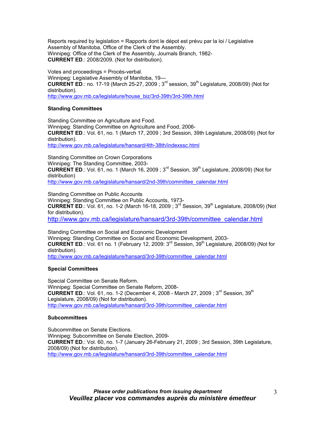Reports required by legislation = Rapports dont le dépot est prévu par la loi / Legislative Assembly of Manitoba, Office of the Clerk of the Assembly. Winnipeg: Office of the Clerk of the Assembly, Journals Branch, 1982- **CURRENT ED**.: 2008/2009. (Not for distribution).

Votes and proceedings = Procès-verbal. Winnipeg: Legislative Assembly of Manitoba, 19— **CURRENT ED.:** no. 17-19 (March 25-27, 2009;  $3^{rd}$  session,  $39^{th}$  Legislature, 2008/09) (Not for distribution). http://www.gov.mb.ca/legislature/house\_biz/3rd-39th/3rd-39th.html

## **Standing Committees**

Standing Committee on Agriculture and Food. Winnipeg: Standing Committee on Agriculture and Food, 2006- **CURRENT ED**.: Vol. 61, no. 1 (March 17, 2009 ; 3rd Session, 39th Legislature, 2008/09) (Not for distribution). http://www.gov.mb.ca/legislature/hansard/4th-38th/indexssc.html

Standing Committee on Crown Corporations Winnipeg: The Standing Committee, 2003- **CURRENT ED.:** Vol. 61, no. 1 (March 16, 2009 ;  $3^{rd}$  Session,  $39^{th}$  Legislature, 2008/09) (Not for distribution) http://www.gov.mb.ca/legislature/hansard/2nd-39th/committee\_calendar.html

Standing Committee on Public Accounts Winnipeg: Standing Committee on Public Accounts, 1973- **CURRENT ED.:** Vol. 61, no. 1-2 (March 16-18, 2009 ; 3<sup>rd</sup> Session, 39<sup>th</sup> Legislature, 2008/09) (Not for distribution). http://www.gov.mb.ca/legislature/hansard/3rd-39th/committee\_calendar.html

Standing Committee on Social and Economic Development Winnipeg: Standing Committee on Social and Economic Development, 2003- **CURRENT ED.:** Vol. 61 no. 1 (February 12, 2009:  $3^{rd}$  Session,  $39^{th}$  Legislature, 2008/09) (Not for distribution). http://www.gov.mb.ca/legislature/hansard/3rd-39th/committee\_calendar.html

# **Special Committees**

Special Committee on Senate Reform. Winnipeg: Special Committee on Senate Reform, 2008- **CURRENT ED.:** Vol. 61, no. 1-2 (December 4, 2008 - March 27, 2009 ; 3<sup>rd</sup> Session, 39<sup>th</sup> Legislature, 2008/09) (Not for distribution). http://www.gov.mb.ca/legislature/hansard/3rd-39th/committee\_calendar.html

## **Subcommittees**

Subcommittee on Senate Elections. Winnipeg: Subcommittee on Senate Election, 2009- **CURRENT ED**.: Vol. 60, no. 1-7 (January 26-February 21, 2009 ; 3rd Session, 39th Legislature, 2008/09) (Not for distribution). http://www.gov.mb.ca/legislature/hansard/3rd-39th/committee\_calendar.html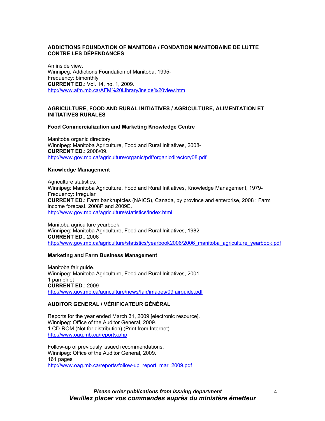## **ADDICTIONS FOUNDATION OF MANITOBA / FONDATION MANITOBAINE DE LUTTE CONTRE LES DÉPENDANCES**

An inside view. Winnipeg: Addictions Foundation of Manitoba, 1995- Frequency: bimonthly **CURRENT ED**.: Vol. 14, no. 1, 2009. http://www.afm.mb.ca/AFM%20Library/inside%20view.htm

## **AGRICULTURE, FOOD AND RURAL INITIATIVES / AGRICULTURE, ALIMENTATION ET INITIATIVES RURALES**

#### **Food Commercialization and Marketing Knowledge Centre**

Manitoba organic directory. Winnipeg: Manitoba Agriculture, Food and Rural Initiatives, 2008- **CURRENT ED**.: 2008/09. http://www.gov.mb.ca/agriculture/organic/pdf/organicdirectory08.pdf

#### **Knowledge Management**

Agriculture statistics. Winnipeg: Manitoba Agriculture, Food and Rural Initiatives, Knowledge Management, 1979- Frequency: Irregular **CURRENT ED.**: Farm bankruptcies (NAICS), Canada, by province and enterprise, 2008 ; Farm income forecast, 2008P and 2009E. http://www.gov.mb.ca/agriculture/statistics/index.html

Manitoba agriculture yearbook. Winnipeg: Manitoba Agriculture, Food and Rural Initiatives, 1982- **CURRENT ED**.: 2006 http://www.gov.mb.ca/agriculture/statistics/yearbook2006/2006\_manitoba\_agriculture\_yearbook.pdf

## **Marketing and Farm Business Management**

Manitoba fair guide. Winnipeg: Manitoba Agriculture, Food and Rural Initiatives, 2001- 1 pamphlet **CURRENT ED**.: 2009 http://www.gov.mb.ca/agriculture/news/fair/images/09fairguide.pdf

# **AUDITOR GENERAL / VÉRIFICATEUR GÉNÉRAL**

Reports for the year ended March 31, 2009 [electronic resource]. Winnipeg: Office of the Auditor General, 2009. 1 CD-ROM (Not for distribution) (Print from Internet) http://www.oag.mb.ca/reports.php

Follow-up of previously issued recommendations. Winnipeg: Office of the Auditor General, 2009. 161 pages http://www.oag.mb.ca/reports/follow-up\_report\_mar\_2009.pdf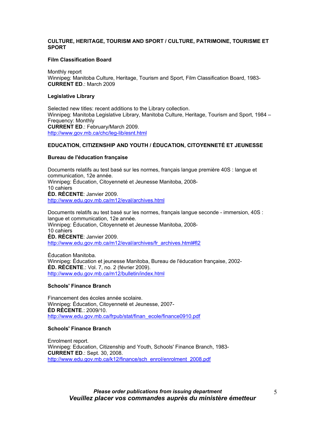## **CULTURE, HERITAGE, TOURISM AND SPORT / CULTURE, PATRIMOINE, TOURISME ET SPORT**

## **Film Classification Board**

Monthly report Winnipeg: Manitoba Culture, Heritage, Tourism and Sport, Film Classification Board, 1983- **CURRENT ED**.: March 2009

## **Legislative Library**

Selected new titles: recent additions to the Library collection. Winnipeg: Manitoba Legislative Library, Manitoba Culture, Heritage, Tourism and Sport, 1984 – Frequency: Monthly **CURRENT ED**.: February/March 2009. http://www.gov.mb.ca/chc/leg-lib/esnt.html

# **EDUCATION, CITIZENSHIP AND YOUTH / ÉDUCATION, CITOYENNETÉ ET JEUNESSE**

## **Bureau de l'éducation française**

Documents relatifs au test basé sur les normes, français langue première 40S : langue et communication, 12e année. Winnipeg: Éducation, Citoyenneté et Jeunesse Manitoba, 2008- 10 cahiers **ÉD. RÉCENTE**: Janvier 2009. http://www.edu.gov.mb.ca/m12/eval/archives.html

Documents relatifs au test basé sur les normes, français langue seconde - immersion, 40S : langue et communication, 12e année. Winnipeg: Éducation, Citoyenneté et Jeunesse Manitoba, 2008- 10 cahiers **ÉD. RÉCENTE**: Janvier 2009. http://www.edu.gov.mb.ca/m12/eval/archives/fr\_archives.html#fl2

Éducation Manitoba. Winnipeg: Éducation et jeunesse Manitoba, Bureau de l'éducation française, 2002- **ÉD. RÉCENTE**.: Vol. 7, no. 2 (février 2009). http://www.edu.gov.mb.ca/m12/bulletin/index.html

## **Schools' Finance Branch**

Financement des écoles année scolaire. Winnipeg: Éducation, Citoyenneté et Jeunesse, 2007- **ÉD RÉCENTE**.: 2009/10. http://www.edu.gov.mb.ca/frpub/stat/finan\_ecole/finance0910.pdf

## **Schools' Finance Branch**

Enrolment report. Winnipeg: Education, Citizenship and Youth, Schools' Finance Branch, 1983- **CURRENT ED**.: Sept. 30, 2008. http://www.edu.gov.mb.ca/k12/finance/sch\_enrol/enrolment\_2008.pdf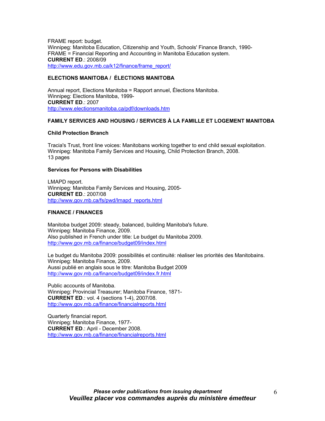FRAME report: budget. Winnipeg: Manitoba Education, Citizenship and Youth, Schools' Finance Branch, 1990- FRAME = Financial Reporting and Accounting in Manitoba Education system. **CURRENT ED**.: 2008/09 http://www.edu.gov.mb.ca/k12/finance/frame\_report/

# **ELECTIONS MANITOBA / ÉLECTIONS MANITOBA**

Annual report, Elections Manitoba = Rapport annuel, Élections Manitoba. Winnipeg: Elections Manitoba, 1999- **CURRENT ED**.: 2007 http://www.electionsmanitoba.ca/pdf/downloads.htm

# **FAMILY SERVICES AND HOUSING / SERVICES À LA FAMILLE ET LOGEMENT MANITOBA**

## **Child Protection Branch**

Tracia's Trust, front line voices: Manitobans working together to end child sexual exploitation. Winnipeg: Manitoba Family Services and Housing, Child Protection Branch, 2008. 13 pages

## **Services for Persons with Disabilities**

LMAPD report. Winnipeg: Manitoba Family Services and Housing, 2005- **CURRENT ED**.: 2007/08 http://www.gov.mb.ca/fs/pwd/lmapd\_reports.html

## **FINANCE / FINANCES**

Manitoba budget 2009: steady, balanced, building Manitoba's future. Winnipeg: Manitoba Finance, 2009. Also published in French under title: Le budget du Manitoba 2009. http://www.gov.mb.ca/finance/budget09/index.html

Le budget du Manitoba 2009: possibilités et continuité: réaliser les priorités des Manitobains. Winnipeg: Manitoba Finance, 2009. Aussi publié en anglais sous le titre: Manitoba Budget 2009 http://www.gov.mb.ca/finance/budget09/index.fr.html

Public accounts of Manitoba. Winnipeg: Provincial Treasurer; Manitoba Finance, 1871- **CURRENT ED**.: vol. 4 (sections 1-4), 2007/08. http://www.gov.mb.ca/finance/financialreports.html

Quarterly financial report. Winnipeg: Manitoba Finance, 1977- **CURRENT ED**.: April - December 2008. http://www.gov.mb.ca/finance/financialreports.html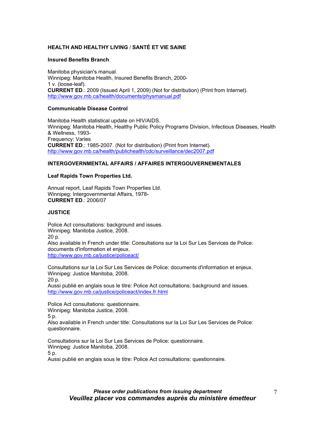# **HEALTH AND HEALTHY LIVING** / **SANTÉ ET VIE SAINE**

#### **Insured Benefits Branch**

Manitoba physician's manual. Winnipeg: Manitoba Health, Insured Benefits Branch, 2000- 1 v. (loose-leaf). **CURRENT ED**.: 2009 (Issued April 1, 2009) (Not for distribution) (Print from Internet). http://www.gov.mb.ca/health/documents/physmanual.pdf

## **Communicable Disease Control**

Manitoba Health statistical update on HIV/AIDS. Winnipeg: Manitoba Health, Healthy Public Policy Programs Division, Infectious Diseases, Health & Wellness, 1993- Frequency: Varies **CURRENT ED**.: 1985-2007. (Not for distribution) (Print from Internet). http://www.gov.mb.ca/health/publichealth/cdc/surveillance/dec2007.pdf

## **INTERGOVERNMENTAL AFFAIRS / AFFAIRES INTERGOUVERNEMENTALES**

#### **Leaf Rapids Town Properties Ltd.**

Annual report, Leaf Rapids Town Properties Ltd. Winnipeg: Intergovernmental Affairs, 1978- **CURRENT ED**.: 2006/07

#### **JUSTICE**

Police Act consultations: background and issues. Winnipeg: Manitoba Justice, 2008. 20 p. Also available in French under title: Consultations sur la Loi Sur Les Services de Police: documents d'information et enjeux. http://www.gov.mb.ca/justice/policeact/

Consultations sur la Loi Sur Les Services de Police: documents d'information et enjeux. Winnipeg: Justice Manitoba, 2008. 20 p.

Aussi publié en anglais sous le titre: Police Act consultations: background and issues. http://www.gov.mb.ca/justice/policeact/index.fr.html

Police Act consultations: questionnaire. Winnipeg: Manitoba Justice, 2008.

5 p.

Also available in French under title: Consultations sur la Loi Sur Les Services de Police: questionnaire.

Consultations sur la Loi Sur Les Services de Police: questionnaire. Winnipeg: Justice Manitoba, 2008. 5 p.

Aussi publié en anglais sous le titre: Police Act consultations: questionnaire.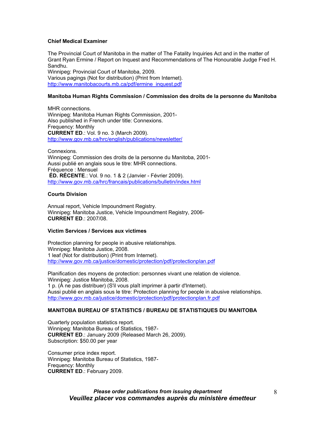## **Chief Medical Examiner**

The Provincial Court of Manitoba in the matter of The Fatality Inquiries Act and in the matter of Grant Ryan Ermine / Report on Inquest and Recommendations of The Honourable Judge Fred H. Sandhu. Winnipeg: Provincial Court of Manitoba, 2009. Various pagings (Not for distribution) (Print from Internet). http://www.manitobacourts.mb.ca/pdf/ermine\_inquest.pdf

## **Manitoba Human Rights Commission / Commission des droits de la personne du Manitoba**

MHR connections. Winnipeg: Manitoba Human Rights Commission, 2001- Also published in French under title: Connexions. Frequency: Monthly **CURRENT ED**.: Vol. 9 no. 3 (March 2009). http://www.gov.mb.ca/hrc/english/publications/newsletter/

Connexions. Winnipeg: Commission des droits de la personne du Manitoba, 2001- Aussi publié en anglais sous le titre: MHR connections. Fréquence : Mensuel **ÉD. RÉCENTE**.: Vol. 9 no. 1 & 2 (Janvier - Février 2009). http://www.gov.mb.ca/hrc/francais/publications/bulletin/index.html

## **Courts Division**

Annual report, Vehicle Impoundment Registry. Winnipeg: Manitoba Justice, Vehicle Impoundment Registry, 2006- **CURRENT ED**.: 2007/08.

## **Victim Services / Services aux victimes**

Protection planning for people in abusive relationships. Winnipeg: Manitoba Justice, 2008. 1 leaf (Not for distribution) (Print from Internet). http://www.gov.mb.ca/justice/domestic/protection/pdf/protectionplan.pdf

Planification des moyens de protection: personnes vivant une relation de violence. Winnipeg: Justice Manitoba, 2008. 1 p. (À ne pas distribuer) (S'il vous plaît imprimer à partir d'Internet). Aussi publié en anglais sous le titre: Protection planning for people in abusive relationships. http://www.gov.mb.ca/justice/domestic/protection/pdf/protectionplan.fr.pdf

## **MANITOBA BUREAU OF STATISTICS / BUREAU DE STATISTIQUES DU MANITOBA**

Quarterly population statistics report. Winnipeg: Manitoba Bureau of Statistics, 1987- **CURRENT ED**.: January 2009 (Released March 26, 2009). Subscription: \$50.00 per year

Consumer price index report. Winnipeg: Manitoba Bureau of Statistics, 1987- Frequency: Monthly **CURRENT ED**.: February 2009.

> *Please order publications from issuing department Veuillez placer vos commandes auprès du ministère émetteur*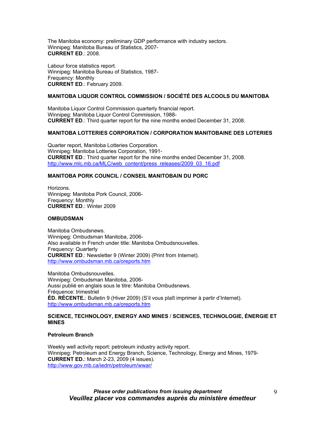The Manitoba economy: preliminary GDP performance with industry sectors. Winnipeg: Manitoba Bureau of Statistics, 2007- **CURRENT ED**.: 2008.

Labour force statistics report. Winnipeg: Manitoba Bureau of Statistics, 1987- Frequency: Monthly **CURRENT ED**.: February 2009.

# **MANITOBA LIQUOR CONTROL COMMISSION / SOCIÉTÉ DES ALCOOLS DU MANITOBA**

Manitoba Liquor Control Commission quarterly financial report. Winnipeg: Manitoba Liquor Control Commission, 1988- **CURRENT ED**.: Third quarter report for the nine months ended December 31, 2008.

## **MANITOBA LOTTERIES CORPORATION / CORPORATION MANITOBAINE DES LOTERIES**

Quarter report, Manitoba Lotteries Corporation. Winnipeg: Manitoba Lotteries Corporation, 1991- **CURRENT ED**.: Third quarter report for the nine months ended December 31, 2008. http://www.mlc.mb.ca/MLC/web\_content/press\_releases/2009\_03\_16.pdf

## **MANITOBA PORK COUNCIL / CONSEIL MANITOBAIN DU PORC**

Horizons. Winnipeg: Manitoba Pork Council, 2006- Frequency: Monthly **CURRENT ED**.: Winter 2009

## **OMBUDSMAN**

Manitoba Ombudsnews. Winnipeg: Ombudsman Manitoba, 2006- Also available in French under title: Manitoba Ombudsnouvelles. Frequency: Quarterly **CURRENT ED**.: Newsletter 9 (Winter 2009) (Print from Internet). http://www.ombudsman.mb.ca/oreports.htm

Manitoba Ombudsnouvelles. Winnipeg: Ombudsman Manitoba, 2006- Aussi publié en anglais sous le titre: Manitoba Ombudsnews. Fréquence: trimestriel **ÉD. RÉCENTE.**: Bulletin 9 (Hiver 2009) (S'il vous plaît imprimer à partir d'Internet). http://www.ombudsman.mb.ca/oreports.htm

## **SCIENCE, TECHNOLOGY, ENERGY AND MINES** / **SCIENCES, TECHNOLOGIE, ÉNERGIE ET MINES**

## **Petroleum Branch**

Weekly well activity report: petroleum industry activity report. Winnipeg: Petroleum and Energy Branch, Science, Technology, Energy and Mines, 1979- **CURRENT ED.**: March 2-23, 2009 (4 issues). http://www.gov.mb.ca/iedm/petroleum/wwar/